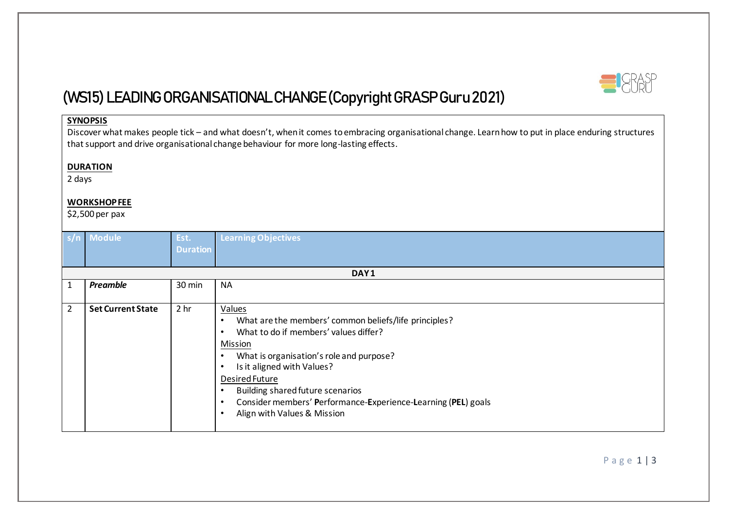

# **(WS15) LEADING ORGANISATIONAL CHANGE (Copyright GRASP Guru 2021)**

### **SYNOPSIS**

Discover what makes people tick – and what doesn't, when it comes to embracing organisational change. Learn how to put in place enduring structures that support and drive organisational change behaviour for more long-lasting effects.

#### **DURATION**

2 days

#### **WORKSHOP FEE**

\$2,500 per pax

|   | s/n Module               | Est.            | <b>Learning Objectives</b>                                    |  |  |  |  |  |
|---|--------------------------|-----------------|---------------------------------------------------------------|--|--|--|--|--|
|   |                          | <b>Duration</b> |                                                               |  |  |  |  |  |
|   |                          |                 |                                                               |  |  |  |  |  |
|   | DAY1                     |                 |                                                               |  |  |  |  |  |
|   | Preamble                 | 30 min          | <b>NA</b>                                                     |  |  |  |  |  |
|   |                          |                 |                                                               |  |  |  |  |  |
| 2 | <b>Set Current State</b> | 2 <sub>hr</sub> | <b>Values</b>                                                 |  |  |  |  |  |
|   |                          |                 | What are the members' common beliefs/life principles?         |  |  |  |  |  |
|   |                          |                 | What to do if members' values differ?                         |  |  |  |  |  |
|   |                          |                 | Mission                                                       |  |  |  |  |  |
|   |                          |                 | What is organisation's role and purpose?                      |  |  |  |  |  |
|   |                          |                 | Is it aligned with Values?                                    |  |  |  |  |  |
|   |                          |                 | Desired Future                                                |  |  |  |  |  |
|   |                          |                 | <b>Building shared future scenarios</b>                       |  |  |  |  |  |
|   |                          |                 | Consider members' Performance-Experience-Learning (PEL) goals |  |  |  |  |  |
|   |                          |                 | Align with Values & Mission                                   |  |  |  |  |  |
|   |                          |                 |                                                               |  |  |  |  |  |

P a g e 1 | 3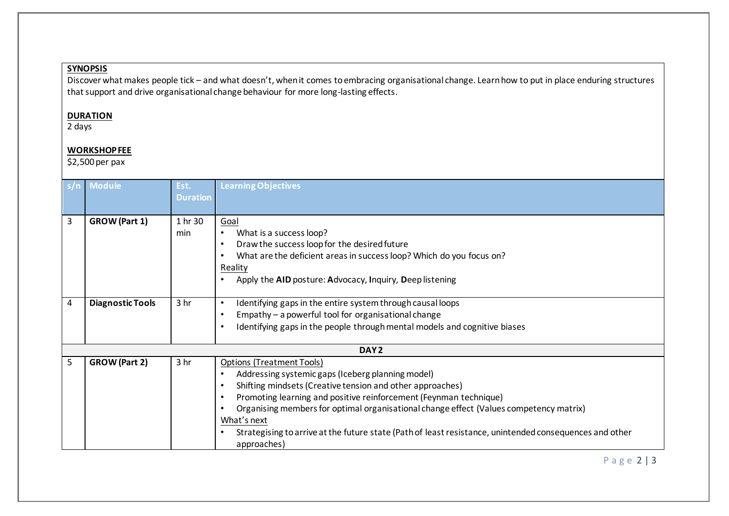## **SYNOPSIS**

Discover what makes people tick – and what doesn't, when it comes to embracing organisational change. Learn how to put in place enduring structures that support and drive organisational change behaviour for more long-lasting effects.

#### **DURATION**

2 days

## **WORKSHOP FEE**

\$2,500 per pax

| s/n | <b>Module</b>           | Est.<br><b>Duration</b> | <b>Learning Objectives</b>                                                                                                                                                                                                                                                                                                                                                                                                                                 |  |  |  |  |
|-----|-------------------------|-------------------------|------------------------------------------------------------------------------------------------------------------------------------------------------------------------------------------------------------------------------------------------------------------------------------------------------------------------------------------------------------------------------------------------------------------------------------------------------------|--|--|--|--|
| 3   | <b>GROW</b> (Part 1)    | 1 hr 30<br>min          | Goal<br>What is a success loop?<br>$\bullet$<br>Draw the success loop for the desired future<br>What are the deficient areas in success loop? Which do you focus on?<br>$\bullet$<br>Reality<br>Apply the AID posture: Advocacy, Inquiry, Deep listening                                                                                                                                                                                                   |  |  |  |  |
| 4   | <b>Diagnostic Tools</b> | 3 <sub>hr</sub>         | Identifying gaps in the entire system through causal loops<br>$\bullet$<br>Empathy - a powerful tool for organisational change<br>Identifying gaps in the people through mental models and cognitive biases                                                                                                                                                                                                                                                |  |  |  |  |
|     | DAY <sub>2</sub>        |                         |                                                                                                                                                                                                                                                                                                                                                                                                                                                            |  |  |  |  |
| 5   | <b>GROW</b> (Part 2)    | 3 hr                    | <b>Options (Treatment Tools)</b><br>Addressing systemic gaps (Iceberg planning model)<br>Shifting mindsets (Creative tension and other approaches)<br>Promoting learning and positive reinforcement (Feynman technique)<br>Organising members for optimal organisational change effect (Values competency matrix)<br>What's next<br>Strategising to arrive at the future state (Path of least resistance, unintended consequences and other<br>approaches) |  |  |  |  |

## P a g e 2 | 3